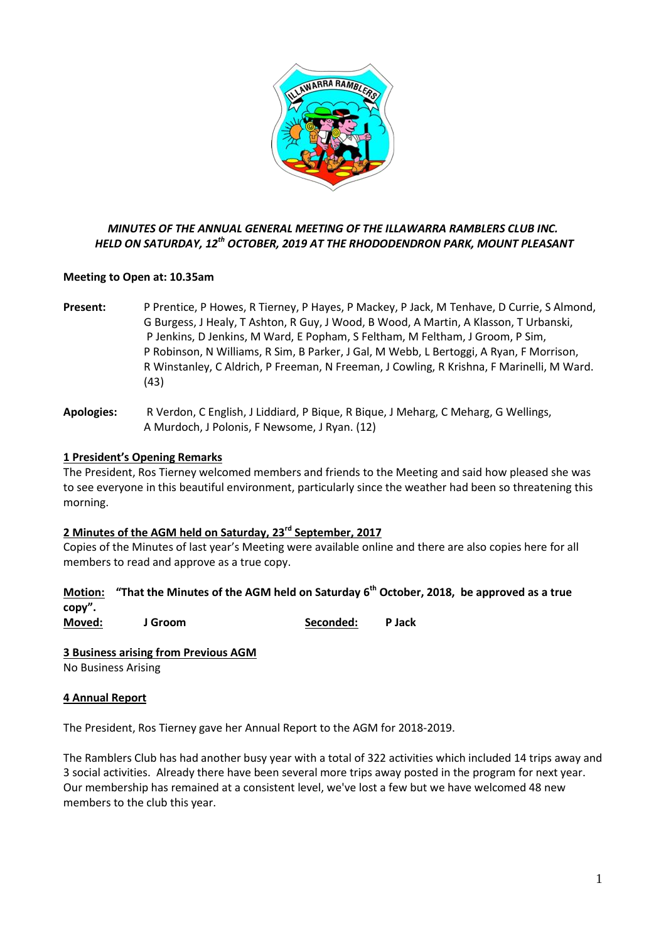

# *MINUTES OF THE ANNUAL GENERAL MEETING OF THE ILLAWARRA RAMBLERS CLUB INC. HELD ON SATURDAY, 12th OCTOBER, 2019 AT THE RHODODENDRON PARK, MOUNT PLEASANT*

# **Meeting to Open at: 10.35am**

- **Present:** P Prentice, P Howes, R Tierney, P Hayes, P Mackey, P Jack, M Tenhave, D Currie, S Almond, G Burgess, J Healy, T Ashton, R Guy, J Wood, B Wood, A Martin, A Klasson, T Urbanski, P Jenkins, D Jenkins, M Ward, E Popham, S Feltham, M Feltham, J Groom, P Sim, P Robinson, N Williams, R Sim, B Parker, J Gal, M Webb, L Bertoggi, A Ryan, F Morrison, R Winstanley, C Aldrich, P Freeman, N Freeman, J Cowling, R Krishna, F Marinelli, M Ward. (43)
- **Apologies:** R Verdon, C English, J Liddiard, P Bique, R Bique, J Meharg, C Meharg, G Wellings, A Murdoch, J Polonis, F Newsome, J Ryan. (12)

# **1 President's Opening Remarks**

The President, Ros Tierney welcomed members and friends to the Meeting and said how pleased she was to see everyone in this beautiful environment, particularly since the weather had been so threatening this morning.

### **2 Minutes of the AGM held on Saturday, 23rd September, 2017**

Copies of the Minutes of last year's Meeting were available online and there are also copies here for all members to read and approve as a true copy.

**Motion: "That the Minutes of the AGM held on Saturday 6 th October, 2018, be approved as a true copy".**

**Moved: J Groom Seconded: P Jack**

**3 Business arising from Previous AGM** No Business Arising

# **4 Annual Report**

The President, Ros Tierney gave her Annual Report to the AGM for 2018-2019.

The Ramblers Club has had another busy year with a total of 322 activities which included 14 trips away and 3 social activities. Already there have been several more trips away posted in the program for next year. Our membership has remained at a consistent level, we've lost a few but we have welcomed 48 new members to the club this year.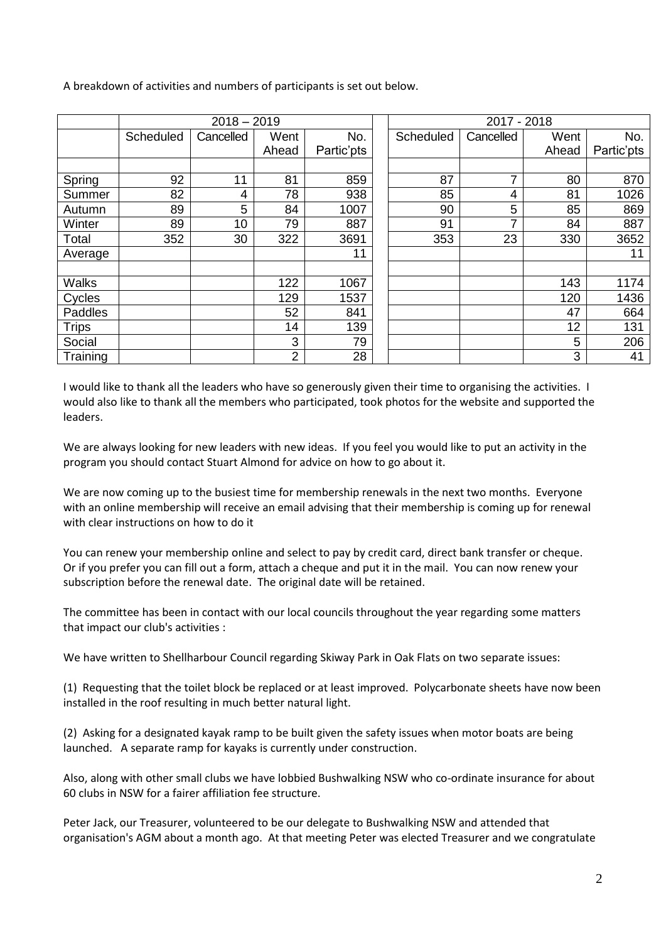A breakdown of activities and numbers of participants is set out below.

|              | $2018 - 2019$ |                |                |            | 2017 - 2018 |           |       |            |
|--------------|---------------|----------------|----------------|------------|-------------|-----------|-------|------------|
|              | Scheduled     | Cancelled      | Went           | No.        | Scheduled   | Cancelled | Went  | No.        |
|              |               |                | Ahead          | Partic'pts |             |           | Ahead | Partic'pts |
|              |               |                |                |            |             |           |       |            |
| Spring       | 92            | 11             | 81             | 859        | 87          | 7         | 80    | 870        |
| Summer       | 82            | 4              | 78             | 938        | 85          | 4         | 81    | 1026       |
| Autumn       | 89            | $5\phantom{1}$ | 84             | 1007       | 90          | 5         | 85    | 869        |
| Winter       | 89            | 10             | 79             | 887        | 91          | 7         | 84    | 887        |
| Total        | 352           | 30             | 322            | 3691       | 353         | 23        | 330   | 3652       |
| Average      |               |                |                | 11         |             |           |       | 11         |
|              |               |                |                |            |             |           |       |            |
| <b>Walks</b> |               |                | 122            | 1067       |             |           | 143   | 1174       |
| Cycles       |               |                | 129            | 1537       |             |           | 120   | 1436       |
| Paddles      |               |                | 52             | 841        |             |           | 47    | 664        |
| <b>Trips</b> |               |                | 14             | 139        |             |           | 12    | 131        |
| Social       |               |                | 3              | 79         |             |           | 5     | 206        |
| Training     |               |                | $\overline{2}$ | 28         |             |           | 3     | 41         |

I would like to thank all the leaders who have so generously given their time to organising the activities. I would also like to thank all the members who participated, took photos for the website and supported the leaders.

We are always looking for new leaders with new ideas. If you feel you would like to put an activity in the program you should contact Stuart Almond for advice on how to go about it.

We are now coming up to the busiest time for membership renewals in the next two months. Everyone with an online membership will receive an email advising that their membership is coming up for renewal with clear instructions on how to do it

You can renew your membership online and select to pay by credit card, direct bank transfer or cheque. Or if you prefer you can fill out a form, attach a cheque and put it in the mail. You can now renew your subscription before the renewal date. The original date will be retained.

The committee has been in contact with our local councils throughout the year regarding some matters that impact our club's activities :

We have written to Shellharbour Council regarding Skiway Park in Oak Flats on two separate issues:

(1) Requesting that the toilet block be replaced or at least improved. Polycarbonate sheets have now been installed in the roof resulting in much better natural light.

(2) Asking for a designated kayak ramp to be built given the safety issues when motor boats are being launched. A separate ramp for kayaks is currently under construction.

Also, along with other small clubs we have lobbied Bushwalking NSW who co-ordinate insurance for about 60 clubs in NSW for a fairer affiliation fee structure.

Peter Jack, our Treasurer, volunteered to be our delegate to Bushwalking NSW and attended that organisation's AGM about a month ago. At that meeting Peter was elected Treasurer and we congratulate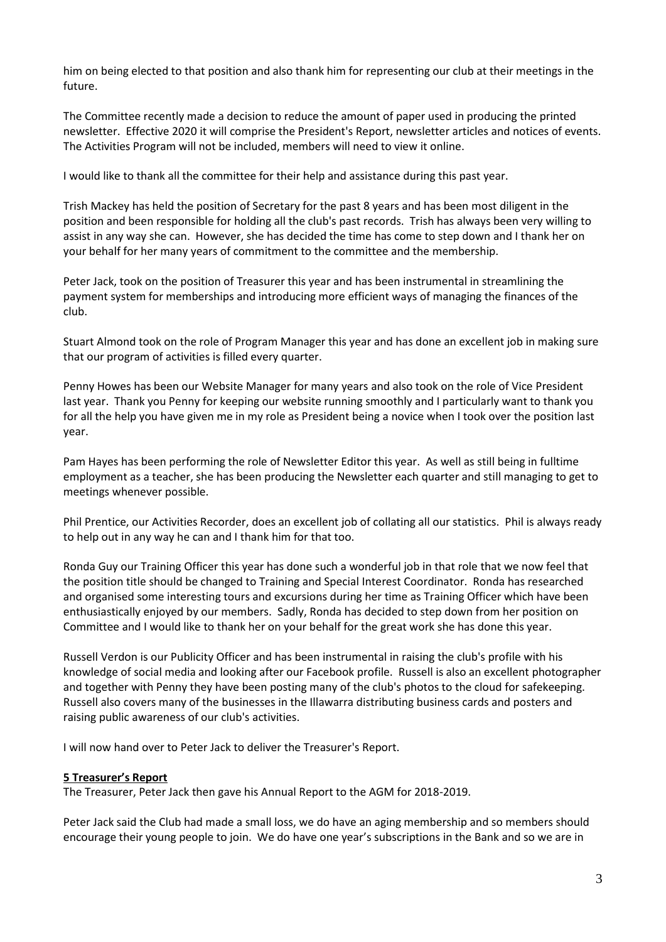him on being elected to that position and also thank him for representing our club at their meetings in the future.

The Committee recently made a decision to reduce the amount of paper used in producing the printed newsletter. Effective 2020 it will comprise the President's Report, newsletter articles and notices of events. The Activities Program will not be included, members will need to view it online.

I would like to thank all the committee for their help and assistance during this past year.

Trish Mackey has held the position of Secretary for the past 8 years and has been most diligent in the position and been responsible for holding all the club's past records. Trish has always been very willing to assist in any way she can. However, she has decided the time has come to step down and I thank her on your behalf for her many years of commitment to the committee and the membership.

Peter Jack, took on the position of Treasurer this year and has been instrumental in streamlining the payment system for memberships and introducing more efficient ways of managing the finances of the club.

Stuart Almond took on the role of Program Manager this year and has done an excellent job in making sure that our program of activities is filled every quarter.

Penny Howes has been our Website Manager for many years and also took on the role of Vice President last year. Thank you Penny for keeping our website running smoothly and I particularly want to thank you for all the help you have given me in my role as President being a novice when I took over the position last year.

Pam Hayes has been performing the role of Newsletter Editor this year. As well as still being in fulltime employment as a teacher, she has been producing the Newsletter each quarter and still managing to get to meetings whenever possible.

Phil Prentice, our Activities Recorder, does an excellent job of collating all our statistics. Phil is always ready to help out in any way he can and I thank him for that too.

Ronda Guy our Training Officer this year has done such a wonderful job in that role that we now feel that the position title should be changed to Training and Special Interest Coordinator. Ronda has researched and organised some interesting tours and excursions during her time as Training Officer which have been enthusiastically enjoyed by our members. Sadly, Ronda has decided to step down from her position on Committee and I would like to thank her on your behalf for the great work she has done this year.

Russell Verdon is our Publicity Officer and has been instrumental in raising the club's profile with his knowledge of social media and looking after our Facebook profile. Russell is also an excellent photographer and together with Penny they have been posting many of the club's photos to the cloud for safekeeping. Russell also covers many of the businesses in the Illawarra distributing business cards and posters and raising public awareness of our club's activities.

I will now hand over to Peter Jack to deliver the Treasurer's Report.

### **5 Treasurer's Report**

The Treasurer, Peter Jack then gave his Annual Report to the AGM for 2018-2019.

Peter Jack said the Club had made a small loss, we do have an aging membership and so members should encourage their young people to join. We do have one year's subscriptions in the Bank and so we are in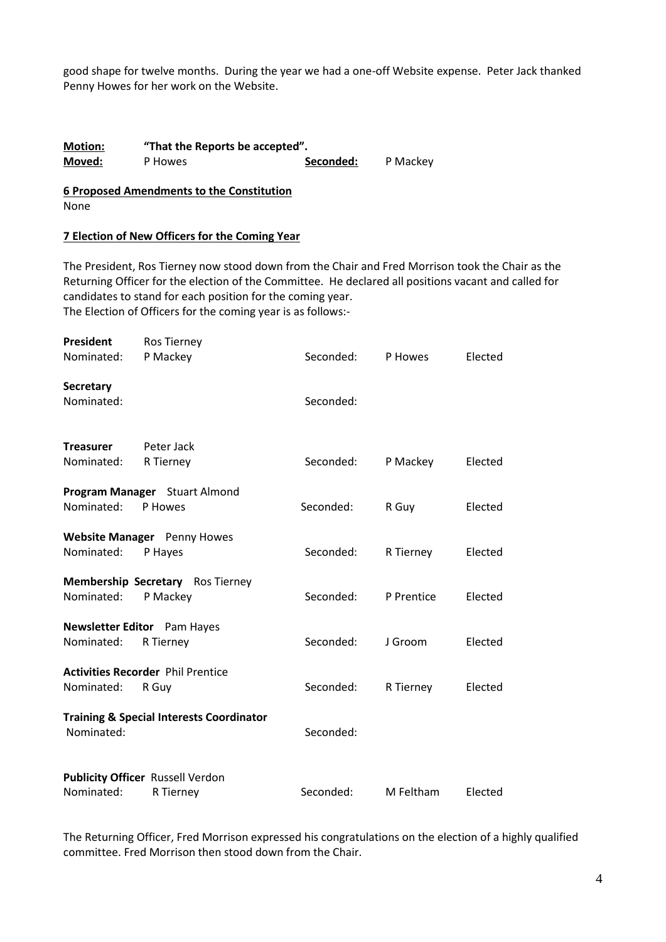good shape for twelve months. During the year we had a one-off Website expense. Peter Jack thanked Penny Howes for her work on the Website.

| <b>Motion:</b> | "That the Reports be accepted". |           |          |  |  |  |
|----------------|---------------------------------|-----------|----------|--|--|--|
| Moved:         | P Howes                         | Seconded: | P Mackey |  |  |  |

**6 Proposed Amendments to the Constitution** None

#### **7 Election of New Officers for the Coming Year**

The President, Ros Tierney now stood down from the Chair and Fred Morrison took the Chair as the Returning Officer for the election of the Committee. He declared all positions vacant and called for candidates to stand for each position for the coming year. The Election of Officers for the coming year is as follows:-

| <b>President</b><br>Nominated: | <b>Ros Tierney</b><br>P Mackey                       | Seconded: | P Howes    | Elected |
|--------------------------------|------------------------------------------------------|-----------|------------|---------|
| Secretary<br>Nominated:        |                                                      | Seconded: |            |         |
| <b>Treasurer</b><br>Nominated: | Peter Jack<br>R Tierney                              | Seconded: | P Mackey   | Elected |
| Nominated:                     | Program Manager Stuart Almond<br>P Howes             | Seconded: | R Guy      | Elected |
| Nominated:                     | Website Manager Penny Howes<br>P Hayes               | Seconded: | R Tierney  | Elected |
| Nominated:                     | Membership Secretary Ros Tierney<br>P Mackey         | Seconded: | P Prentice | Elected |
| Nominated:                     | <b>Newsletter Editor</b> Pam Hayes<br>R Tierney      | Seconded: | J Groom    | Elected |
| Nominated:                     | <b>Activities Recorder Phil Prentice</b><br>R Guy    | Seconded: | R Tierney  | Elected |
| Nominated:                     | <b>Training &amp; Special Interests Coordinator</b>  | Seconded: |            |         |
| Nominated:                     | <b>Publicity Officer Russell Verdon</b><br>R Tierney | Seconded: | M Feltham  | Elected |

The Returning Officer, Fred Morrison expressed his congratulations on the election of a highly qualified committee. Fred Morrison then stood down from the Chair.